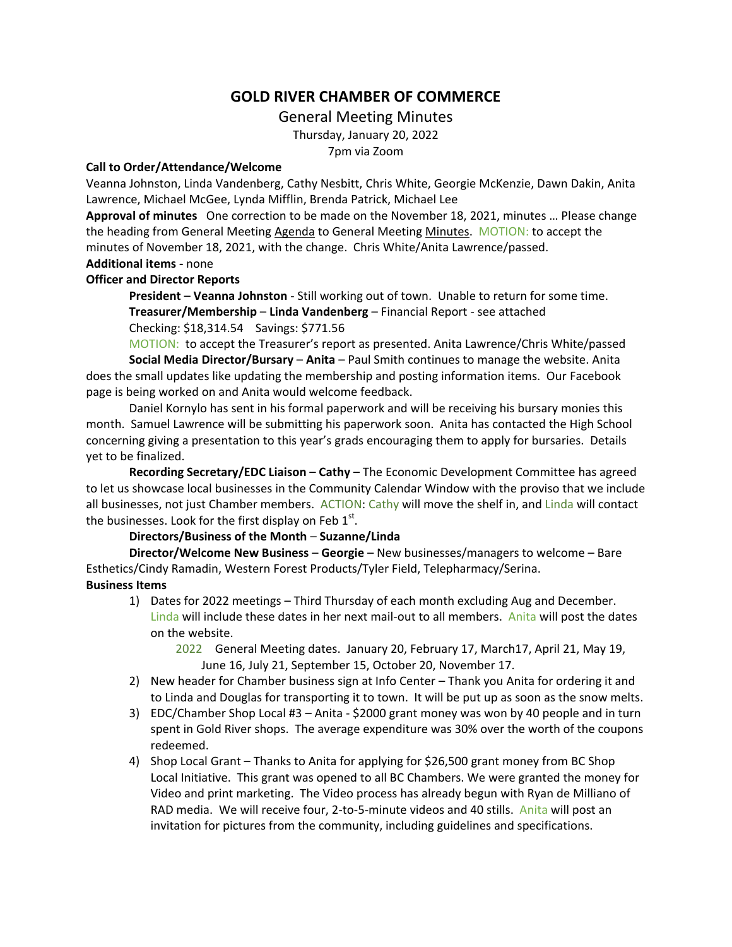## **GOLD RIVER CHAMBER OF COMMERCE**

General Meeting Minutes

Thursday, January 20, 2022

7pm via Zoom

## **Call to Order/Attendance/Welcome**

Veanna Johnston, Linda Vandenberg, Cathy Nesbitt, Chris White, Georgie McKenzie, Dawn Dakin, Anita Lawrence, Michael McGee, Lynda Mifflin, Brenda Patrick, Michael Lee

**Approval of minutes** One correction to be made on the November 18, 2021, minutes … Please change the heading from General Meeting Agenda to General Meeting Minutes. MOTION: to accept the minutes of November 18, 2021, with the change. Chris White/Anita Lawrence/passed. **Additional items -** none

## **Officer and Director Reports**

**President** – **Veanna Johnston** - Still working out of town. Unable to return for some time. **Treasurer/Membership** – **Linda Vandenberg** – Financial Report - see attached Checking: \$18,314.54 Savings: \$771.56

MOTION: to accept the Treasurer's report as presented. Anita Lawrence/Chris White/passed **Social Media Director/Bursary** – **Anita** – Paul Smith continues to manage the website. Anita does the small updates like updating the membership and posting information items. Our Facebook page is being worked on and Anita would welcome feedback.

Daniel Kornylo has sent in his formal paperwork and will be receiving his bursary monies this month. Samuel Lawrence will be submitting his paperwork soon. Anita has contacted the High School concerning giving a presentation to this year's grads encouraging them to apply for bursaries. Details yet to be finalized.

**Recording Secretary/EDC Liaison** – **Cathy** – The Economic Development Committee has agreed to let us showcase local businesses in the Community Calendar Window with the proviso that we include all businesses, not just Chamber members. ACTION: Cathy will move the shelf in, and Linda will contact the businesses. Look for the first display on Feb  $1^{st}$ .

## **Directors/Business of the Month** – **Suzanne/Linda**

**Director/Welcome New Business** – **Georgie** – New businesses/managers to welcome – Bare Esthetics/Cindy Ramadin, Western Forest Products/Tyler Field, Telepharmacy/Serina. **Business Items**

- 1) Dates for 2022 meetings Third Thursday of each month excluding Aug and December. Linda will include these dates in her next mail-out to all members. Anita will post the dates on the website.
	- 2022 General Meeting dates. January 20, February 17, March17, April 21, May 19, June 16, July 21, September 15, October 20, November 17.
- 2) New header for Chamber business sign at Info Center Thank you Anita for ordering it and to Linda and Douglas for transporting it to town. It will be put up as soon as the snow melts.
- 3) EDC/Chamber Shop Local #3 Anita \$2000 grant money was won by 40 people and in turn spent in Gold River shops. The average expenditure was 30% over the worth of the coupons redeemed.
- 4) Shop Local Grant Thanks to Anita for applying for \$26,500 grant money from BC Shop Local Initiative. This grant was opened to all BC Chambers. We were granted the money for Video and print marketing. The Video process has already begun with Ryan de Milliano of RAD media. We will receive four, 2-to-5-minute videos and 40 stills. Anita will post an invitation for pictures from the community, including guidelines and specifications.